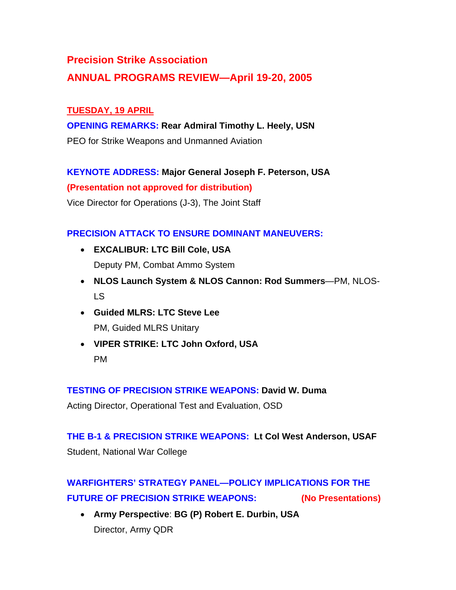# **Precision Strike Association**

# **ANNUAL PROGRAMS REVIEW—April 19-20, 2005**

## **TUESDAY, 19 APRIL**

#### **OPENING REMARKS: Rear Admiral Timothy L. Heely, USN**

PEO for Strike Weapons and Unmanned Aviation

#### **KEYNOTE ADDRESS: Major General Joseph F. Peterson, USA**

**(Presentation not approved for distribution)**

Vice Director for Operations (J-3), The Joint Staff

#### **PRECISION ATTACK TO ENSURE DOMINANT MANEUVERS:**

- **EXCALIBUR: LTC Bill Cole, USA**  Deputy PM, Combat Ammo System
- **NLOS Launch System & NLOS Cannon: Rod Summers**—PM, NLOS-LS
- **Guided MLRS: LTC Steve Lee**  PM, Guided MLRS Unitary
- **VIPER STRIKE: LTC John Oxford, USA**  PM

#### **TESTING OF PRECISION STRIKE WEAPONS: David W. Duma**

Acting Director, Operational Test and Evaluation, OSD

**THE B-1 & PRECISION STRIKE WEAPONS: Lt Col West Anderson, USAF**  Student, National War College

# **WARFIGHTERS' STRATEGY PANEL—POLICY IMPLICATIONS FOR THE FUTURE OF PRECISION STRIKE WEAPONS: (No Presentations)**

• **Army Perspective**: **BG (P) Robert E. Durbin, USA**  Director, Army QDR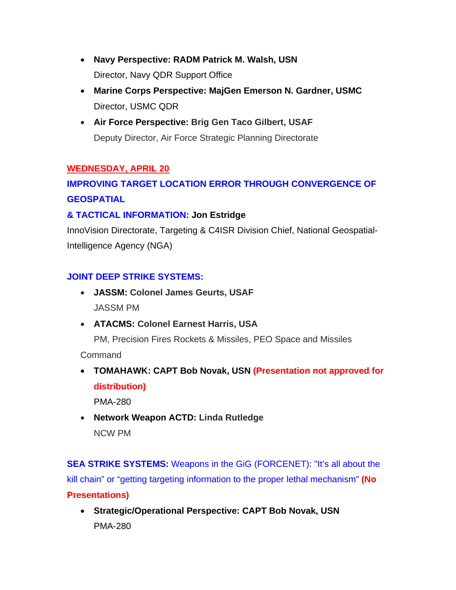- **Navy Perspective: RADM Patrick M. Walsh, USN**  Director, Navy QDR Support Office
- **Marine Corps Perspective: MajGen Emerson N. Gardner, USMC**  Director, USMC QDR
- **Air Force Perspective: Brig Gen Taco Gilbert, USAF**  Deputy Director, Air Force Strategic Planning Directorate

## **WEDNESDAY, APRIL 20**

# **IMPROVING TARGET LOCATION ERROR THROUGH CONVERGENCE OF GEOSPATIAL**

#### **& TACTICAL INFORMATION: Jon Estridge**

InnoVision Directorate, Targeting & C4ISR Division Chief, National Geospatial-Intelligence Agency (NGA)

#### **JOINT DEEP STRIKE SYSTEMS:**

- **JASSM: Colonel James Geurts, USAF**  JASSM PM
- **ATACMS: Colonel Earnest Harris, USA**

PM, Precision Fires Rockets & Missiles, PEO Space and Missiles

Command

• **TOMAHAWK: CAPT Bob Novak, USN (Presentation not approved for distribution)**

PMA-280

• **Network Weapon ACTD: Linda Rutledge**  NCW PM

**SEA STRIKE SYSTEMS:** Weapons in the GiG (FORCENET): "It's all about the kill chain" or "getting targeting information to the proper lethal mechanism" **(No Presentations)**

• **Strategic/Operational Perspective: CAPT Bob Novak, USN**  PMA-280